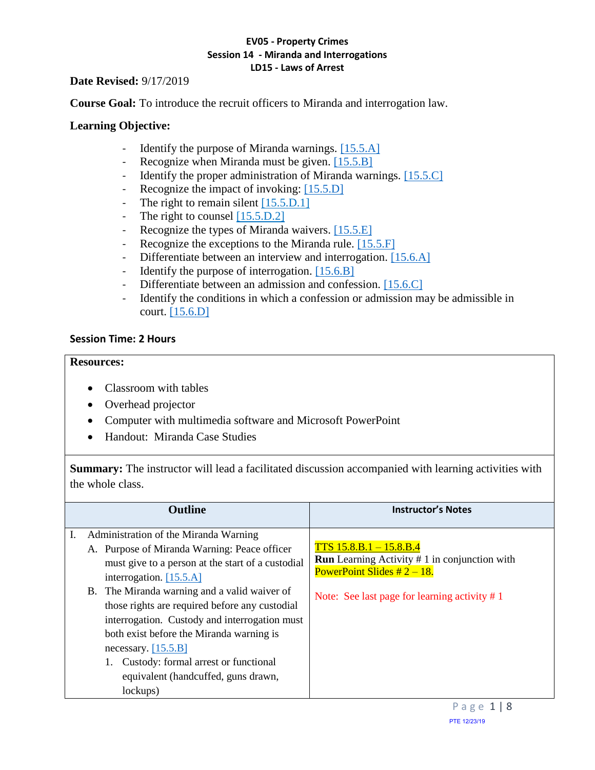## **Date Revised:** 9/17/2019

**Course Goal:** To introduce the recruit officers to Miranda and interrogation law.

# **Learning Objective:**

- <span id="page-0-2"></span>- Identify the purpose of Miranda warnings. [\[15.5.A\]](#page-0-0)
- <span id="page-0-3"></span>- Recognize when Miranda must be given. [\[15.5.B\]](#page-0-1)
- <span id="page-0-5"></span><span id="page-0-4"></span>- Identify the proper administration of Miranda warnings. [\[15.5.C\]](#page-1-0)
- Recognize the impact of invoking: [\[15.5.D\]](#page-1-1)
- The right to remain silent [15.5.D.1]
- The right to counsel [15.5.D.2]
- <span id="page-0-6"></span>- Recognize the types of Miranda waivers. [\[15.5.E\]](#page-1-2)
- <span id="page-0-7"></span>- Recognize the exceptions to the Miranda rule. [\[15.5.F\]](#page-1-3)
- <span id="page-0-8"></span>- Differentiate between an interview and interrogation. [\[15.6.A\]](#page-2-0)
- <span id="page-0-10"></span><span id="page-0-9"></span>- Identify the purpose of interrogation. [\[15.6.B\]](#page-2-1)
- Differentiate between an admission and confession. [\[15.6.C\]](#page-2-2)
- <span id="page-0-11"></span>- Identify the conditions in which a confession or admission may be admissible in court. [\[15.6.D\]](#page-3-0)

# **Session Time: 2 Hours**

## **Resources:**

- Classroom with tables
- Overhead projector
- Computer with multimedia software and Microsoft PowerPoint
- Handout: Miranda Case Studies

**Summary:** The instructor will lead a facilitated discussion accompanied with learning activities with the whole class.

<span id="page-0-1"></span><span id="page-0-0"></span>

| <b>Outline</b>                                                                                                                                                                                                                                                                                                                                                                                                                                                                             | <b>Instructor's Notes</b>                                                                                                                                               |  |
|--------------------------------------------------------------------------------------------------------------------------------------------------------------------------------------------------------------------------------------------------------------------------------------------------------------------------------------------------------------------------------------------------------------------------------------------------------------------------------------------|-------------------------------------------------------------------------------------------------------------------------------------------------------------------------|--|
| Administration of the Miranda Warning<br>A. Purpose of Miranda Warning: Peace officer<br>must give to a person at the start of a custodial<br>interrogation. $[15.5.A]$<br>B. The Miranda warning and a valid waiver of<br>those rights are required before any custodial<br>interrogation. Custody and interrogation must<br>both exist before the Miranda warning is<br>necessary. $[15.5.B]$<br>Custody: formal arrest or functional<br>equivalent (handcuffed, guns drawn,<br>lockups) | $TTS$ 15.8.B.1 – 15.8.B.4<br><b>Run</b> Learning Activity $# 1$ in conjunction with<br>PowerPoint Slides $#2 - 18$ .<br>Note: See last page for learning activity $# 1$ |  |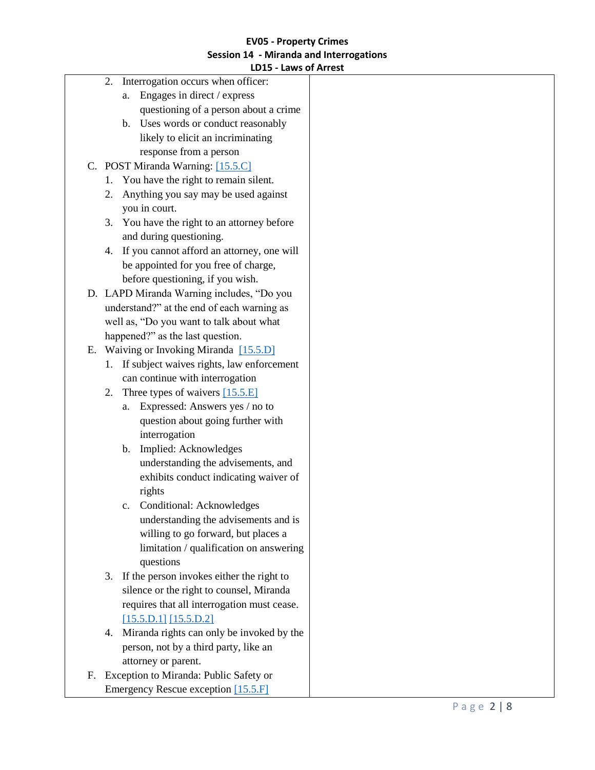# <span id="page-1-0"></span>**EV05 - Property Crimes Session 14 - Miranda and Interrogations**

|    |    | LD15 - Laws of Arrest                       |  |
|----|----|---------------------------------------------|--|
|    | 2. | Interrogation occurs when officer:          |  |
|    |    | Engages in direct / express<br>a.           |  |
|    |    | questioning of a person about a crime       |  |
|    |    | b. Uses words or conduct reasonably         |  |
|    |    | likely to elicit an incriminating           |  |
|    |    | response from a person                      |  |
|    |    | C. POST Miranda Warning: [15.5.C]           |  |
|    | 1. | You have the right to remain silent.        |  |
|    | 2. | Anything you say may be used against        |  |
|    |    | you in court.                               |  |
|    | 3. | You have the right to an attorney before    |  |
|    |    | and during questioning.                     |  |
|    | 4. | If you cannot afford an attorney, one will  |  |
|    |    | be appointed for you free of charge,        |  |
|    |    | before questioning, if you wish.            |  |
|    |    | D. LAPD Miranda Warning includes, "Do you   |  |
|    |    | understand?" at the end of each warning as  |  |
|    |    | well as, "Do you want to talk about what    |  |
|    |    | happened?" as the last question.            |  |
| Е. |    | Waiving or Invoking Miranda [15.5.D]        |  |
|    | 1. | If subject waives rights, law enforcement   |  |
|    |    | can continue with interrogation             |  |
|    | 2. | Three types of waivers $[15.5.E]$           |  |
|    |    | Expressed: Answers yes / no to<br>a.        |  |
|    |    | question about going further with           |  |
|    |    | interrogation                               |  |
|    |    | b. Implied: Acknowledges                    |  |
|    |    | understanding the advisements, and          |  |
|    |    | exhibits conduct indicating waiver of       |  |
|    |    | rights                                      |  |
|    |    | Conditional: Acknowledges<br>$\mathbf{c}$ . |  |
|    |    | understanding the advisements and is        |  |
|    |    | willing to go forward, but places a         |  |
|    |    | limitation / qualification on answering     |  |
|    |    | questions                                   |  |
|    | 3. | If the person invokes either the right to   |  |
|    |    | silence or the right to counsel, Miranda    |  |
|    |    | requires that all interrogation must cease. |  |
|    |    | [15.5.D.1] [15.5.D.2]                       |  |
|    | 4. | Miranda rights can only be invoked by the   |  |
|    |    | person, not by a third party, like an       |  |
|    |    | attorney or parent.                         |  |
| F. |    | Exception to Miranda: Public Safety or      |  |

<span id="page-1-3"></span><span id="page-1-2"></span><span id="page-1-1"></span>Emergency Rescue exception [\[15.5.F\]](#page-0-7)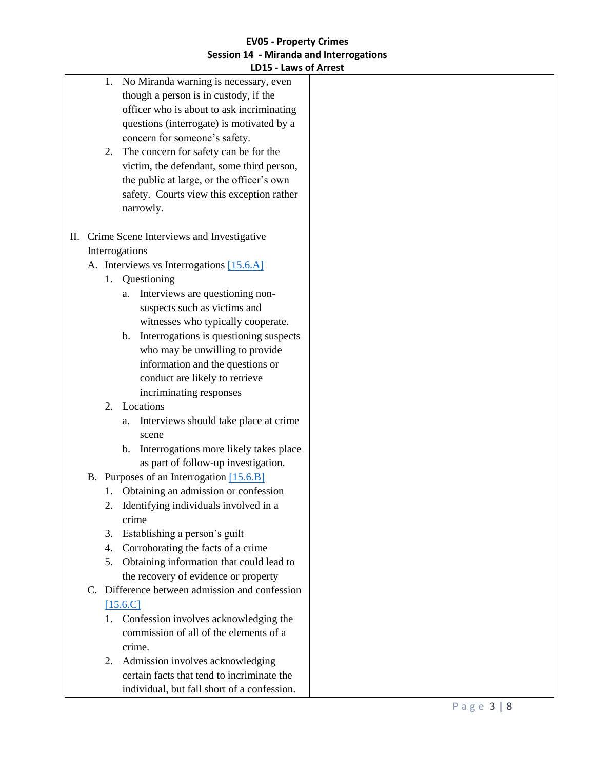<span id="page-2-2"></span><span id="page-2-1"></span><span id="page-2-0"></span>

|    | <b>LUTS - FOMS OF WILCSE</b>                             |  |
|----|----------------------------------------------------------|--|
| 1. | No Miranda warning is necessary, even                    |  |
|    | though a person is in custody, if the                    |  |
|    | officer who is about to ask incriminating                |  |
|    | questions (interrogate) is motivated by a                |  |
|    | concern for someone's safety.                            |  |
| 2. | The concern for safety can be for the                    |  |
|    | victim, the defendant, some third person,                |  |
|    | the public at large, or the officer's own                |  |
|    | safety. Courts view this exception rather                |  |
|    | narrowly.                                                |  |
|    |                                                          |  |
| П. | Crime Scene Interviews and Investigative                 |  |
|    | Interrogations                                           |  |
|    | A. Interviews vs Interrogations [15.6.A]                 |  |
|    | 1. Questioning                                           |  |
|    | Interviews are questioning non-<br>a.                    |  |
|    | suspects such as victims and                             |  |
|    | witnesses who typically cooperate.                       |  |
|    | Interrogations is questioning suspects<br>$\mathbf{b}$ . |  |
|    | who may be unwilling to provide                          |  |
|    | information and the questions or                         |  |
|    | conduct are likely to retrieve                           |  |
|    | incriminating responses                                  |  |
| 2. | Locations                                                |  |
|    | Interviews should take place at crime<br>a.              |  |
|    | scene                                                    |  |
|    | Interrogations more likely takes place<br>$\mathbf{b}$ . |  |
|    | as part of follow-up investigation.                      |  |
|    | B. Purposes of an Interrogation [15.6.B]                 |  |
| 1. | Obtaining an admission or confession                     |  |
|    | Identifying individuals involved in a                    |  |
|    | crime                                                    |  |
| 3. | Establishing a person's guilt                            |  |
| 4. | Corroborating the facts of a crime                       |  |
| 5. | Obtaining information that could lead to                 |  |
|    | the recovery of evidence or property                     |  |
|    | C. Difference between admission and confession           |  |
|    |                                                          |  |
|    | $[15.6,C]$                                               |  |
|    | 1. Confession involves acknowledging the                 |  |
|    | commission of all of the elements of a                   |  |
|    | crime.                                                   |  |
| 2. | Admission involves acknowledging                         |  |
|    | certain facts that tend to incriminate the               |  |
|    | individual, but fall short of a confession.              |  |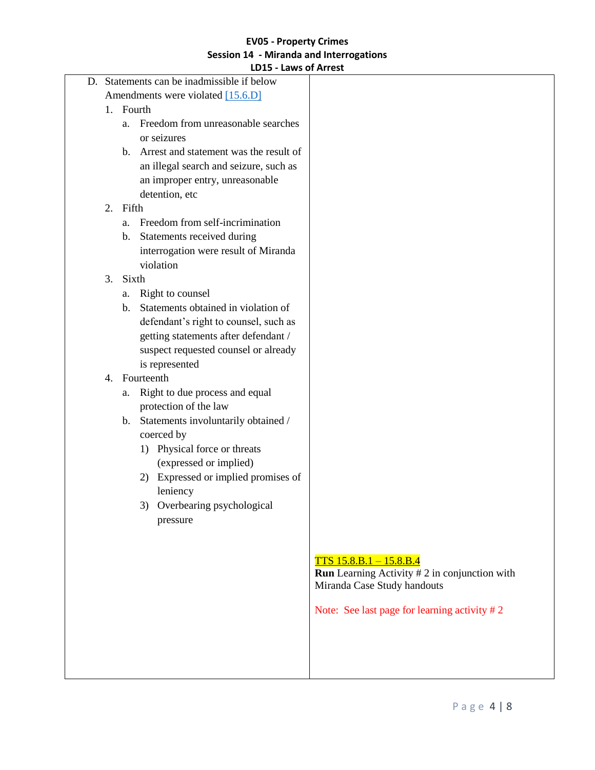<span id="page-3-0"></span>

|    |         | D. Statements can be inadmissible if below |                                                        |
|----|---------|--------------------------------------------|--------------------------------------------------------|
|    |         | Amendments were violated [15.6.D]          |                                                        |
| 1. | Fourth  |                                            |                                                        |
|    | a.      | Freedom from unreasonable searches         |                                                        |
|    |         | or seizures                                |                                                        |
|    | $b_{-}$ | Arrest and statement was the result of     |                                                        |
|    |         | an illegal search and seizure, such as     |                                                        |
|    |         | an improper entry, unreasonable            |                                                        |
|    |         | detention, etc                             |                                                        |
| 2. | Fifth   |                                            |                                                        |
|    | a.      | Freedom from self-incrimination            |                                                        |
|    | b.      | Statements received during                 |                                                        |
|    |         | interrogation were result of Miranda       |                                                        |
|    |         | violation                                  |                                                        |
| 3. | Sixth   |                                            |                                                        |
|    | a.      | Right to counsel                           |                                                        |
|    | b.      | Statements obtained in violation of        |                                                        |
|    |         | defendant's right to counsel, such as      |                                                        |
|    |         | getting statements after defendant /       |                                                        |
|    |         | suspect requested counsel or already       |                                                        |
|    |         | is represented                             |                                                        |
| 4. |         | Fourteenth                                 |                                                        |
|    | a.      | Right to due process and equal             |                                                        |
|    |         | protection of the law                      |                                                        |
|    |         | b. Statements involuntarily obtained /     |                                                        |
|    |         | coerced by                                 |                                                        |
|    |         | Physical force or threats<br>1)            |                                                        |
|    |         | (expressed or implied)                     |                                                        |
|    |         | 2) Expressed or implied promises of        |                                                        |
|    |         | leniency                                   |                                                        |
|    |         | 3) Overbearing psychological               |                                                        |
|    |         | pressure                                   |                                                        |
|    |         |                                            |                                                        |
|    |         |                                            |                                                        |
|    |         |                                            | $TTS$ 15.8.B.1 - 15.8.B.4                              |
|    |         |                                            | <b>Run</b> Learning Activity $# 2$ in conjunction with |
|    |         |                                            | Miranda Case Study handouts                            |
|    |         |                                            |                                                        |
|    |         |                                            | Note: See last page for learning activity $# 2$        |
|    |         |                                            |                                                        |
|    |         |                                            |                                                        |
|    |         |                                            |                                                        |
|    |         |                                            |                                                        |

Π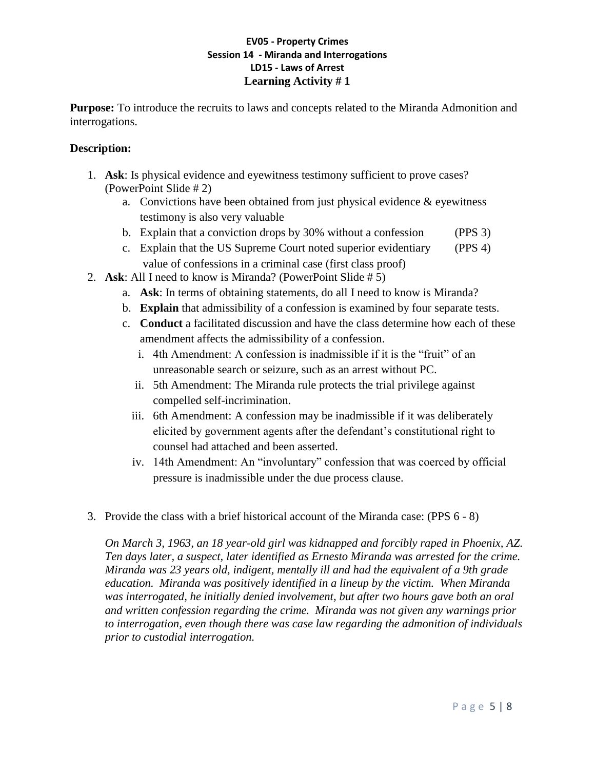# **EV05 - Property Crimes Session 14 - Miranda and Interrogations LD15 - Laws of Arrest Learning Activity # 1**

**Purpose:** To introduce the recruits to laws and concepts related to the Miranda Admonition and interrogations.

# **Description:**

- 1. **Ask**: Is physical evidence and eyewitness testimony sufficient to prove cases? (PowerPoint Slide # 2)
	- a. Convictions have been obtained from just physical evidence  $\&$  eyewitness testimony is also very valuable
	- b. Explain that a conviction drops by 30% without a confession (PPS 3)
	- c. Explain that the US Supreme Court noted superior evidentiary (PPS 4) value of confessions in a criminal case (first class proof)
- 2. **Ask**: All I need to know is Miranda? (PowerPoint Slide # 5)
	- a. **Ask**: In terms of obtaining statements, do all I need to know is Miranda?
	- b. **Explain** that admissibility of a confession is examined by four separate tests.
	- c. **Conduct** a facilitated discussion and have the class determine how each of these amendment affects the admissibility of a confession.
		- i. 4th Amendment: A confession is inadmissible if it is the "fruit" of an unreasonable search or seizure, such as an arrest without PC.
		- ii. 5th Amendment: The Miranda rule protects the trial privilege against compelled self-incrimination.
		- iii. 6th Amendment: A confession may be inadmissible if it was deliberately elicited by government agents after the defendant's constitutional right to counsel had attached and been asserted.
		- iv. 14th Amendment: An "involuntary" confession that was coerced by official pressure is inadmissible under the due process clause.
- 3. Provide the class with a brief historical account of the Miranda case: (PPS 6 8)

*On March 3, 1963, an 18 year-old girl was kidnapped and forcibly raped in Phoenix, AZ. Ten days later, a suspect, later identified as Ernesto Miranda was arrested for the crime. Miranda was 23 years old, indigent, mentally ill and had the equivalent of a 9th grade education. Miranda was positively identified in a lineup by the victim. When Miranda was interrogated, he initially denied involvement, but after two hours gave both an oral and written confession regarding the crime. Miranda was not given any warnings prior to interrogation, even though there was case law regarding the admonition of individuals prior to custodial interrogation.*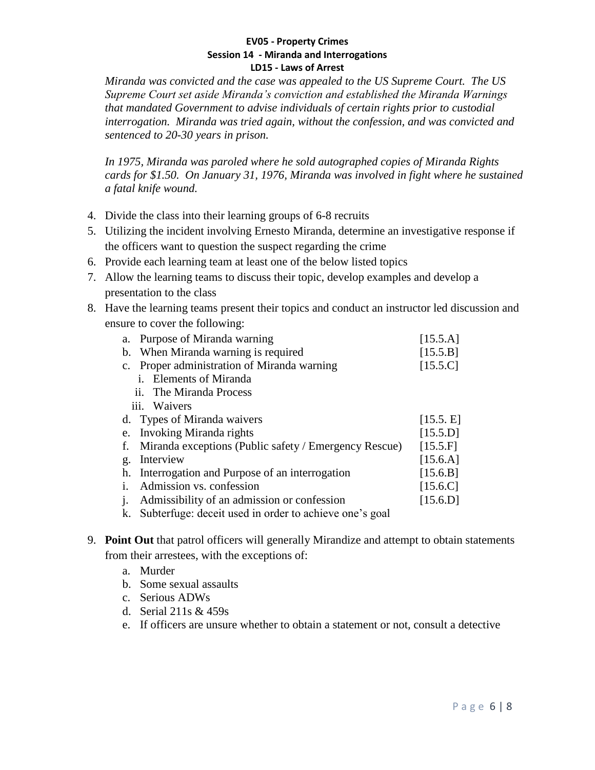*Miranda was convicted and the case was appealed to the US Supreme Court. The US Supreme Court set aside Miranda's conviction and established the Miranda Warnings that mandated Government to advise individuals of certain rights prior to custodial interrogation. Miranda was tried again, without the confession, and was convicted and sentenced to 20-30 years in prison.*

*In 1975, Miranda was paroled where he sold autographed copies of Miranda Rights cards for \$1.50. On January 31, 1976, Miranda was involved in fight where he sustained a fatal knife wound.*

- 4. Divide the class into their learning groups of 6-8 recruits
- 5. Utilizing the incident involving Ernesto Miranda, determine an investigative response if the officers want to question the suspect regarding the crime
- 6. Provide each learning team at least one of the below listed topics
- 7. Allow the learning teams to discuss their topic, develop examples and develop a presentation to the class
- 8. Have the learning teams present their topics and conduct an instructor led discussion and ensure to cover the following:

| a.             | Purpose of Miranda warning                                | [15.5.A]  |  |
|----------------|-----------------------------------------------------------|-----------|--|
| b.             | When Miranda warning is required                          | [15.5.B]  |  |
|                | c. Proper administration of Miranda warning               |           |  |
|                | <b>Elements of Miranda</b><br>1.                          |           |  |
|                | ii. The Miranda Process                                   |           |  |
|                | iii. Waivers                                              |           |  |
|                | d. Types of Miranda waivers                               | [15.5, E] |  |
| e.             | Invoking Miranda rights                                   | [15.5.D]  |  |
| f.             | Miranda exceptions (Public safety / Emergency Rescue)     | [15.5.F]  |  |
| $\mathbf{g}$ . | Interview                                                 | [15.6.A]  |  |
|                | h. Interrogation and Purpose of an interrogation          | [15.6.B]  |  |
| $\mathbf{1}$ . | Admission vs. confession                                  | [15.6.C]  |  |
| $\mathbf{1}$ . | Admissibility of an admission or confession               | [15.6.D]  |  |
|                | k. Subterfuge: deceit used in order to achieve one's goal |           |  |

- 9. **Point Out** that patrol officers will generally Mirandize and attempt to obtain statements from their arrestees, with the exceptions of:
	- a. Murder
	- b. Some sexual assaults
	- c. Serious ADWs
	- d. Serial 211s & 459s
	- e. If officers are unsure whether to obtain a statement or not, consult a detective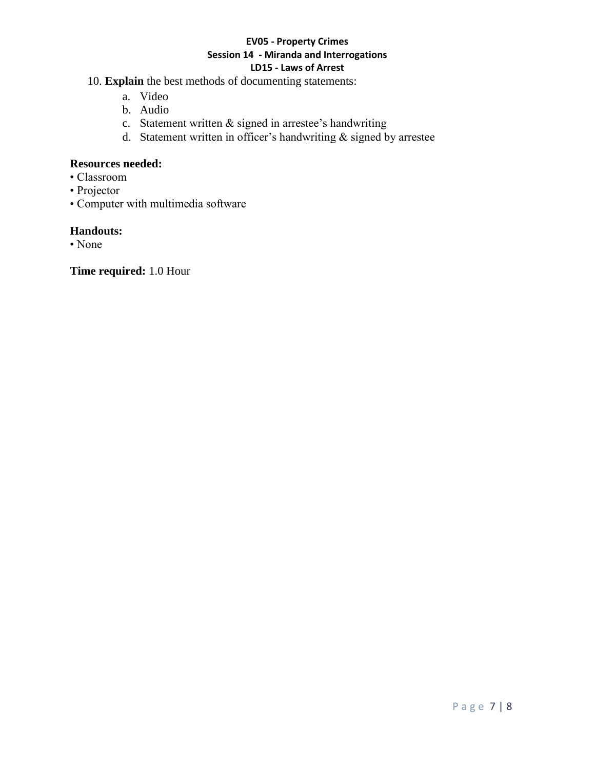- 10. **Explain** the best methods of documenting statements:
	- a. Video
	- b. Audio
	- c. Statement written & signed in arrestee's handwriting
	- d. Statement written in officer's handwriting & signed by arrestee

#### **Resources needed:**

- Classroom
- Projector
- Computer with multimedia software

# **Handouts:**

• None

**Time required:** 1.0 Hour